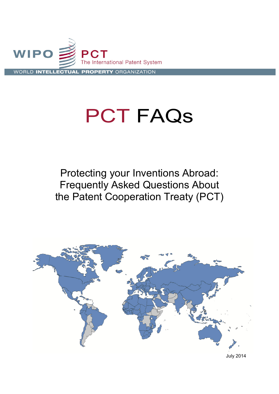

# PCT FAQs

Protecting your Inventions Abroad: Frequently Asked Questions About the Patent Cooperation Treaty (PCT)

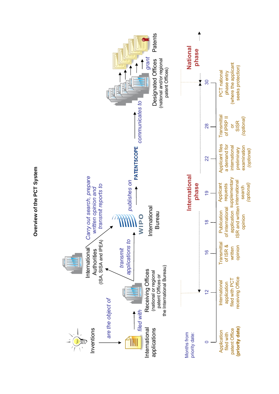

**Overview of the PCT System** Overview of the PCT System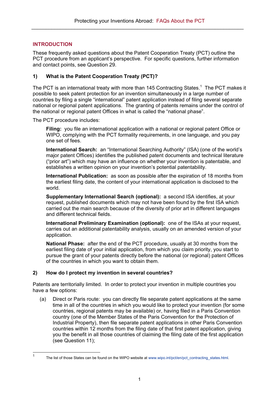## **INTRODUCTION**

These frequently asked questions about the Patent Cooperation Treaty (PCT) outline the PCT procedure from an applicant's perspective. For specific questions, further information and contact points, see Question 29.

## **1) What is the Patent Cooperation Treaty (PCT)?**

The PCT is an international treaty with more than 145 Contracting States.<sup>1</sup> The PCT makes it possible to seek patent protection for an invention simultaneously in a large number of countries by filing a single "international" patent application instead of filing several separate national or regional patent applications. The granting of patents remains under the control of the national or regional patent Offices in what is called the "national phase".

The PCT procedure includes:

**Filing:** you file an international application with a national or regional patent Office or WIPO, complying with the PCT formality requirements, in one language, and you pay one set of fees.

**International Search:** an "International Searching Authority" (ISA) (one of the world's major patent Offices) identifies the published patent documents and technical literature ("prior art") which may have an influence on whether your invention is patentable, and establishes a written opinion on your invention's potential patentability.

**International Publication:** as soon as possible after the expiration of 18 months from the earliest filing date, the content of your international application is disclosed to the world.

**Supplementary International Search (optional):** a second ISA identifies, at your request, published documents which may not have been found by the first ISA which carried out the main search because of the diversity of prior art in different languages and different technical fields.

**International Preliminary Examination (optional):** one of the ISAs at your request, carries out an additional patentability analysis, usually on an amended version of your application.

**National Phase:** after the end of the PCT procedure, usually at 30 months from the earliest filing date of your initial application, from which you claim priority, you start to pursue the grant of your patents directly before the national (or regional) patent Offices of the countries in which you want to obtain them.

## **2) How do I protect my invention in several countries?**

Patents are territorially limited. In order to protect your invention in multiple countries you have a few options:

(a) Direct or Paris route: you can directly file separate patent applications at the same time in all of the countries in which you would like to protect your invention (for some countries, regional patents may be available) or, having filed in a Paris Convention country (one of the Member States of the Paris Convention for the Protection of Industrial Property), then file separate patent applications in other Paris Convention countries within 12 months from the filing date of that first patent application, giving you the benefit in all those countries of claiming the filing date of the first application (see Question 11);

l 1

The list of those States can be found on the WIPO website at www.wipo.int/pct/en/pct\_contracting\_states.html.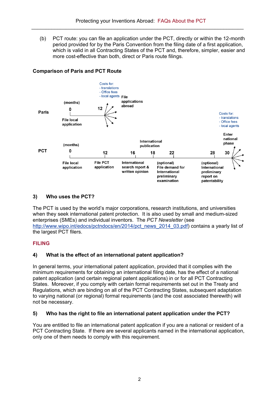(b) PCT route: you can file an application under the PCT, directly or within the 12-month period provided for by the Paris Convention from the filing date of a first application, which is valid in all Contracting States of the PCT and, therefore, simpler, easier and more cost-effective than both, direct or Paris route filings.



#### **Comparison of Paris and PCT Route**

#### **3) Who uses the PCT?**

The PCT is used by the world's major corporations, research institutions, and universities when they seek international patent protection. It is also used by small and medium-sized enterprises (SMEs) and individual inventors. The *PCT Newsletter* (see http://www.wipo.int/edocs/pctndocs/en/2014/pct\_news\_2014\_03.pdf) contains a yearly list of the largest PCT filers.

#### **FILING**

## **4) What is the effect of an international patent application?**

In general terms, your international patent application, provided that it complies with the minimum requirements for obtaining an international filing date, has the effect of a national patent application (and certain regional patent applications) in or for all PCT Contracting States. Moreover, if you comply with certain formal requirements set out in the Treaty and Regulations, which are binding on all of the PCT Contracting States, subsequent adaptation to varying national (or regional) formal requirements (and the cost associated therewith) will not be necessary.

#### **5) Who has the right to file an international patent application under the PCT?**

You are entitled to file an international patent application if you are a national or resident of a PCT Contracting State. If there are several applicants named in the international application, only one of them needs to comply with this requirement.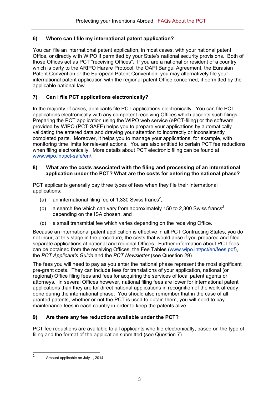# **6) Where can I file my international patent application?**

You can file an international patent application, in most cases, with your national patent Office, or directly with WIPO if permitted by your State's national security provisions. Both of those Offices act as PCT "receiving Offices". If you are a national or resident of a country which is party to the ARIPO Harare Protocol, the OAPI Bangui Agreement, the Eurasian Patent Convention or the European Patent Convention, you may alternatively file your international patent application with the regional patent Office concerned, if permitted by the applicable national law.

# **7) Can I file PCT applications electronically?**

In the majority of cases, applicants file PCT applications electronically. You can file PCT applications electronically with any competent receiving Offices which accepts such filings. Preparing the PCT application using the WIPO web service (ePCT-filing) or the software provided by WIPO (PCT-SAFE) helps you to prepare your applications by automatically validating the entered data and drawing your attention to incorrectly or inconsistently completed parts. Moreover, it helps you to manage your applications, for example, with monitoring time limits for relevant actions. You are also entitled to certain PCT fee reductions when filing electronically. More details about PCT electronic filing can be found at www.wipo.int/pct-safe/en/.

#### **8) What are the costs associated with the filing and processing of an international application under the PCT? What are the costs for entering the national phase?**

PCT applicants generally pay three types of fees when they file their international applications:

- (a) an international filing fee of 1,330 Swiss francs<sup>2</sup>,
- (b) a search fee which can vary from approximately 150 to 2,300 Swiss francs<sup>2</sup> depending on the ISA chosen, and
- (c) a small transmittal fee which varies depending on the receiving Office.

Because an international patent application is effective in all PCT Contracting States, you do not incur, at this stage in the procedure, the costs that would arise if you prepared and filed separate applications at national and regional Offices. Further information about PCT fees can be obtained from the receiving Offices, the Fee Tables (www.wipo.int/pct/en/fees.pdf), the *PCT Applicant's Guide* and the *PCT Newsletter* (see Question 29).

The fees you will need to pay as you enter the national phase represent the most significant pre-grant costs. They can include fees for translations of your application, national (or regional) Office filing fees and fees for acquiring the services of local patent agents or attorneys. In several Offices however, national filing fees are lower for international patent applications than they are for direct national applications in recognition of the work already done during the international phase. You should also remember that in the case of all granted patents, whether or not the PCT is used to obtain them, you will need to pay maintenance fees in each country in order to keep the patents alive.

## **9) Are there any fee reductions available under the PCT?**

PCT fee reductions are available to all applicants who file electronically, based on the type of filing and the format of the application submitted (see Question 7).

 $\frac{1}{2}$ 

Amount applicable on July 1, 2014.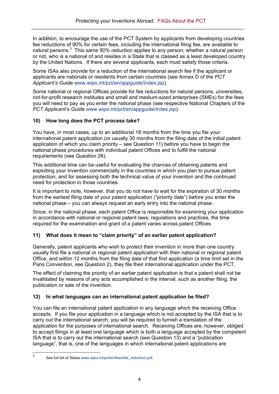In addition, to encourage the use of the PCT System by applicants from developing countries fee reductions of 90% for certain fees, including the international filing fee, are available to natural persons.<sup>3</sup> This same 90% reduction applies to any person, whether a natural person or not, who is a national of and resides in a State that is classed as a least developed country by the United Nations. If there are several applicants, each must satisfy those criteria.

Some ISAs also provide for a reduction of the international search fee if the applicant or applicants are nationals or residents from certain countries (see Annex D of the *PCT Applicant's Guide* www.wipo.int/pct/en/appguide/index.jsp).

Some national or regional Offices provide for fee reductions for natural persons, universities, not-for-profit research institutes and small and medium-sized enterprises (SMEs) for the fees you will need to pay as you enter the national phase (see respective National Chapters of the *PCT Applicant's Guide* www.wipo.int/pct/en/appguide/index.jsp).

## **10) How long does the PCT process take?**

You have, in most cases, up to an additional 18 months from the time you file your international patent application (or usually 30 months from the filing date of the initial patent application of which you claim priority – see Question 11) before you have to begin the national phase procedures with individual patent Offices and to fulfill the national requirements (see Question 26).

This additional time can be useful for evaluating the chances of obtaining patents and exploiting your invention commercially in the countries in which you plan to pursue patent protection, and for assessing both the technical value of your invention and the continued need for protection in those countries.

It is important to note, however, that you do not have to wait for the expiration of 30 months from the earliest filing date of your patent application ("priority date") before you enter the national phase – you can always request an early entry into the national phase.

Since, in the national phase, each patent Office is responsible for examining your application in accordance with national or regional patent laws, regulations and practices, the time required for the examination and grant of a patent varies across patent Offices.

# **11) What does it mean to "claim priority" of an earlier patent application?**

Generally, patent applicants who wish to protect their invention in more than one country usually first file a national or regional patent application with their national or regional patent Office, and within 12 months from the filing date of that first application (a time limit set in the Paris Convention, see Question 2), they file their international application under the PCT.

The effect of claiming the priority of an earlier patent application is that a patent shall not be invalidated by reasons of any acts accomplished in the interval, such as another filing, the publication or sale of the invention.

# **12) In what languages can an international patent application be filed?**

You can file an international patent application in any language which the receiving Office accepts. If you file your application in a language which is not accepted by the ISA that is to carry out the international search, you will be required to furnish a translation of the application for the purposes of international search. Receiving Offices are, however, obliged to accept filings in at least one language which is both a language accepted by the competent ISA that is to carry out the international search (see Question 13) and a "publication language", that is, one of the languages in which international patent applications are

 $\frac{1}{3}$ 

See full list of States www.wipo.int/pct/en/fees/fee\_reduction.pdf.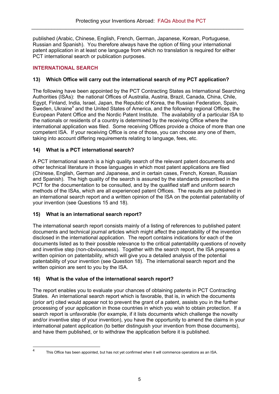published (Arabic, Chinese, English, French, German, Japanese, Korean, Portuguese, Russian and Spanish). You therefore always have the option of filing your international patent application in at least one language from which no translation is required for either PCT international search or publication purposes.

# **INTERNATIONAL SEARCH**

# **13) Which Office will carry out the international search of my PCT application?**

The following have been appointed by the PCT Contracting States as International Searching Authorities (ISAs): the national Offices of Australia, Austria, Brazil, Canada, China, Chile, Egypt, Finland, India, Israel, Japan, the Republic of Korea, the Russian Federation, Spain, Sweden, Ukraine<sup>4</sup> and the United States of America, and the following regional Offices, the European Patent Office and the Nordic Patent Institute. The availability of a particular ISA to the nationals or residents of a country is determined by the receiving Office where the international application was filed. Some receiving Offices provide a choice of more than one competent ISA. If your receiving Office is one of those, you can choose any one of them, taking into account differing requirements relating to language, fees, etc.

# **14) What is a PCT international search?**

A PCT international search is a high quality search of the relevant patent documents and other technical literature in those languages in which most patent applications are filed (Chinese, English, German and Japanese, and in certain cases, French, Korean, Russian and Spanish). The high quality of the search is assured by the standards prescribed in the PCT for the documentation to be consulted, and by the qualified staff and uniform search methods of the ISAs, which are all experienced patent Offices. The results are published in an international search report and a written opinion of the ISA on the potential patentability of your invention (see Questions 15 and 18).

# **15) What is an international search report?**

The international search report consists mainly of a listing of references to published patent documents and technical journal articles which might affect the patentability of the invention disclosed in the international application. The report contains indications for each of the documents listed as to their possible relevance to the critical patentability questions of novelty and inventive step (non-obviousness). Together with the search report, the ISA prepares a written opinion on patentability, which will give you a detailed analysis of the potential patentability of your invention (see Question 18). The international search report and the written opinion are sent to you by the ISA.

# **16) What is the value of the international search report?**

The report enables you to evaluate your chances of obtaining patents in PCT Contracting States. An international search report which is favorable, that is, in which the documents (prior art) cited would appear not to prevent the grant of a patent, assists you in the further processing of your application in those countries in which you wish to obtain protection. If a search report is unfavorable (for example, if it lists documents which challenge the novelty and/or inventive step of your invention), you have the opportunity to amend the claims in your international patent application (to better distinguish your invention from those documents), and have them published, or to withdraw the application before it is published.

 $\overline{4}$ 

This Office has been appointed, but has not yet confirmed when it will commence operations as an ISA.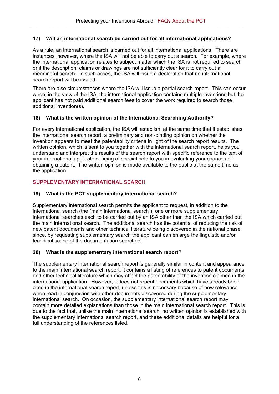## **17) Will an international search be carried out for all international applications?**

As a rule, an international search is carried out for all international applications. There are instances, however, where the ISA will not be able to carry out a search. For example, where the international application relates to subject matter which the ISA is not required to search or if the description, claims or drawings are not sufficiently clear for it to carry out a meaningful search. In such cases, the ISA will issue a declaration that no international search report will be issued.

There are also circumstances where the ISA will issue a partial search report. This can occur when, in the view of the ISA, the international application contains multiple inventions but the applicant has not paid additional search fees to cover the work required to search those additional invention(s).

## **18) What is the written opinion of the International Searching Authority?**

For every international application, the ISA will establish, at the same time that it establishes the international search report, a preliminary and non-binding opinion on whether the invention appears to meet the patentability criteria in light of the search report results. The written opinion, which is sent to you together with the international search report, helps you understand and interpret the results of the search report with specific reference to the text of your international application, being of special help to you in evaluating your chances of obtaining a patent. The written opinion is made available to the public at the same time as the application.

## **SUPPLEMENTARY INTERNATIONAL SEARCH**

## **19) What is the PCT supplementary international search?**

Supplementary international search permits the applicant to request, in addition to the international search (the "main international search"), one or more supplementary international searches each to be carried out by an ISA other than the ISA which carried out the main international search. The additional search has the potential of reducing the risk of new patent documents and other technical literature being discovered in the national phase since, by requesting supplementary search the applicant can enlarge the linguistic and/or technical scope of the documentation searched.

## **20) What is the supplementary international search report?**

The supplementary international search report is generally similar in content and appearance to the main international search report; it contains a listing of references to patent documents and other technical literature which may affect the patentability of the invention claimed in the international application. However, it does not repeat documents which have already been cited in the international search report, unless this is necessary because of new relevance when read in conjunction with other documents discovered during the supplementary international search. On occasion, the supplementary international search report may contain more detailed explanations than those in the main international search report. This is due to the fact that, unlike the main international search, no written opinion is established with the supplementary international search report, and these additional details are helpful for a full understanding of the references listed.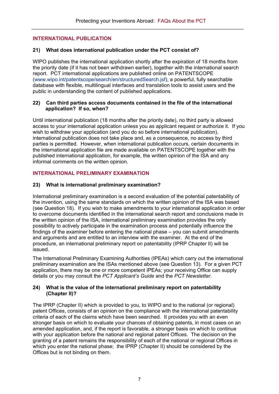## **INTERNATIONAL PUBLICATION**

## **21) What does international publication under the PCT consist of?**

WIPO publishes the international application shortly after the expiration of 18 months from the priority date (if it has not been withdrawn earlier), together with the international search report. PCT international applications are published online on PATENTSCOPE (www.wipo.int/patentscope/search/en/structuredSearch.jsf), a powerful, fully searchable database with flexible, multilingual interfaces and translation tools to assist users and the public in understanding the content of published applications.

#### **22) Can third parties access documents contained in the file of the international application? If so, when?**

Until international publication (18 months after the priority date), no third party is allowed access to your international application unless you as applicant request or authorize it. If you wish to withdraw your application (and you do so before international publication), international publication does not take place and, as a consequence, no access by third parties is permitted. However, when international publication occurs, certain documents in the international application file are made available on PATENTSCOPE together with the published international application, for example, the written opinion of the ISA and any informal comments on the written opinion.

## **INTERNATIONAL PRELIMINARY EXAMINATION**

## **23) What is international preliminary examination?**

International preliminary examination is a second evaluation of the potential patentability of the invention, using the same standards on which the written opinion of the ISA was based (see Question 18). If you wish to make amendments to your international application in order to overcome documents identified in the international search report and conclusions made in the written opinion of the ISA, international preliminary examination provides the only possibility to actively participate in the examination process and potentially influence the findings of the examiner before entering the national phase – you can submit amendments and arguments and are entitled to an interview with the examiner. At the end of the procedure, an international preliminary report on patentability (IPRP Chapter II) will be issued.

The International Preliminary Examining Authorities (IPEAs) which carry out the international preliminary examination are the ISAs mentioned above (see Question 13). For a given PCT application, there may be one or more competent IPEAs; your receiving Office can supply details or you may consult the *PCT Applicant's Guide* and the *PCT Newsletter*.

#### **24) What is the value of the international preliminary report on patentability (Chapter II)?**

The IPRP (Chapter II) which is provided to you, to WIPO and to the national (or regional) patent Offices, consists of an opinion on the compliance with the international patentability criteria of each of the claims which have been searched. It provides you with an even stronger basis on which to evaluate your chances of obtaining patents, in most cases on an amended application, and, if the report is favorable, a stronger basis on which to continue with your application before the national and regional patent Offices. The decision on the granting of a patent remains the responsibility of each of the national or regional Offices in which you enter the national phase; the IPRP (Chapter II) should be considered by the Offices but is not binding on them.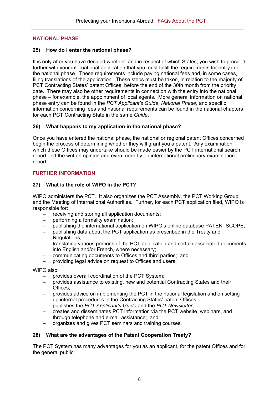#### **NATIONAL PHASE**

#### **25) How do I enter the national phase?**

It is only after you have decided whether, and in respect of which States, you wish to proceed further with your international application that you must fulfill the requirements for entry into the national phase. These requirements include paying national fees and, in some cases, filing translations of the application. These steps must be taken, in relation to the majority of PCT Contracting States' patent Offices, before the end of the 30th month from the priority date. There may also be other requirements in connection with the entry into the national phase – for example, the appointment of local agents. More general information on national phase entry can be found in the *PCT Applicant's Guide*, *National Phase*, and specific information concerning fees and national requirements can be found in the national chapters for each PCT Contracting State in the same *Guide*.

#### **26) What happens to my application in the national phase?**

Once you have entered the national phase, the national or regional patent Offices concerned begin the process of determining whether they will grant you a patent. Any examination which these Offices may undertake should be made easier by the PCT international search report and the written opinion and even more by an international preliminary examination report.

#### **FURTHER INFORMATION**

#### **27) What is the role of WIPO in the PCT?**

WIPO administers the PCT. It also organizes the PCT Assembly, the PCT Working Group and the Meeting of International Authorities. Further, for each PCT application filed, WIPO is responsible for:

- receiving and storing all application documents;
- performing a formality examination;
- publishing the international application on WIPO's online database PATENTSCOPE;
- publishing data about the PCT application as prescribed in the Treaty and Regulations;
- translating various portions of the PCT application and certain associated documents into English and/or French, where necessary;
- communicating documents to Offices and third parties; and
- providing legal advice on request to Offices and users.

WIPO also:

- provides overall coordination of the PCT System;
- provides assistance to existing, new and potential Contracting States and their Offices;
- provides advice on implementing the PCT in the national legislation and on setting up internal procedures in the Contracting States' patent Offices;
- publishes the *PCT Applicant's Guide* and the *PCT Newsletter*;
- creates and disseminates PCT information via the PCT website, webinars, and through telephone and e-mail assistance; and
- organizes and gives PCT seminars and training courses.

#### **28) What are the advantages of the Patent Cooperation Treaty?**

The PCT System has many advantages for you as an applicant, for the patent Offices and for the general public: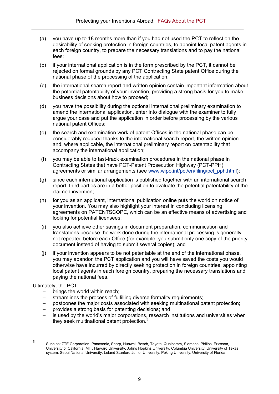- (a) you have up to 18 months more than if you had not used the PCT to reflect on the desirability of seeking protection in foreign countries, to appoint local patent agents in each foreign country, to prepare the necessary translations and to pay the national fees;
- (b) if your international application is in the form prescribed by the PCT, it cannot be rejected on formal grounds by any PCT Contracting State patent Office during the national phase of the processing of the application;
- (c) the international search report and written opinion contain important information about the potential patentability of your invention, providing a strong basis for you to make business decisions about how to proceed;
- (d) you have the possibility during the optional international preliminary examination to amend the international application, enter into dialogue with the examiner to fully argue your case and put the application in order before processing by the various national patent Offices;
- (e) the search and examination work of patent Offices in the national phase can be considerably reduced thanks to the international search report, the written opinion and, where applicable, the international preliminary report on patentability that accompany the international application;
- (f) you may be able to fast-track examination procedures in the national phase in Contracting States that have PCT-Patent Prosecution Highway (PCT-PPH) agreements or similar arrangements (see www.wipo.int/pct/en/filing/pct\_pph.html);
- (g) since each international application is published together with an international search report, third parties are in a better position to evaluate the potential patentability of the claimed invention;
- (h) for you as an applicant, international publication online puts the world on notice of your invention. You may also highlight your interest in concluding licensing agreements on PATENTSCOPE, which can be an effective means of advertising and looking for potential licensees;
- (i) you also achieve other savings in document preparation, communication and translations because the work done during the international processing is generally not repeated before each Office (for example, you submit only one copy of the priority document instead of having to submit several copies); and
- (j) if your invention appears to be not patentable at the end of the international phase, you may abandon the PCT application and you will have saved the costs you would otherwise have incurred by directly seeking protection in foreign countries, appointing local patent agents in each foreign country, preparing the necessary translations and paying the national fees.

Ultimately, the PCT:

- brings the world within reach;
- streamlines the process of fulfilling diverse formality requirements;
- postpones the major costs associated with seeking multinational patent protection;
- provides a strong basis for patenting decisions; and
- is used by the world's major corporations, research institutions and universities when they seek multinational patent protection.<sup>5</sup>

 $\frac{1}{5}$ 

Such as: ZTE Corporation, Panasonic, Sharp, Huawei, Bosch, Toyota, Qualcomm, Siemens, Philips, Ericsson, University of California, MIT, Harvard University, Johns Hopkins University, Columbia University, University of Texas system, Seoul National University, Leland Stanford Junior University, Peking University, University of Florida.